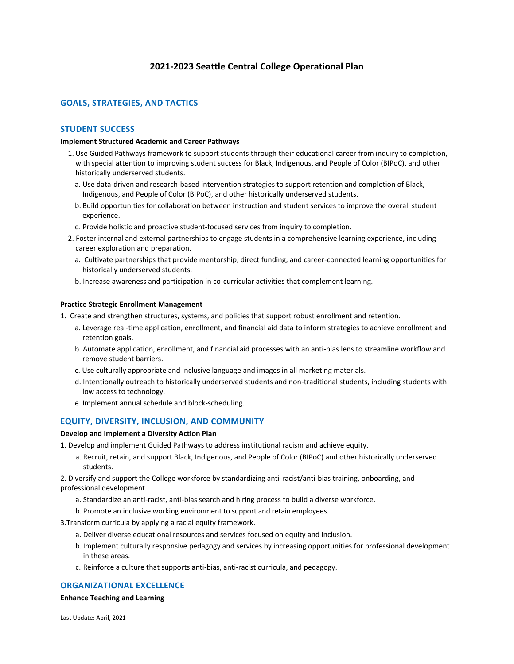# **2021-2023 Seattle Central College Operational Plan**

# **GOALS, STRATEGIES, AND TACTICS**

## **STUDENT SUCCESS**

### **Implement Structured Academic and Career Pathways**

- 1. Use Guided Pathways framework to support students through their educational career from inquiry to completion, with special attention to improving student success for Black, Indigenous, and People of Color (BIPoC), and other historically underserved students.
	- a. Use data-driven and research-based intervention strategies to support retention and completion of Black, Indigenous, and People of Color (BIPoC), and other historically underserved students.
	- b. Build opportunities for collaboration between instruction and student services to improve the overall student experience.
	- c. Provide holistic and proactive student-focused services from inquiry to completion.
- 2. Foster internal and external partnerships to engage students in a comprehensive learning experience, including career exploration and preparation.
	- a. Cultivate partnerships that provide mentorship, direct funding, and career-connected learning opportunities for historically underserved students.
	- b. Increase awareness and participation in co-curricular activities that complement learning.

### **Practice Strategic Enrollment Management**

- 1. Create and strengthen structures, systems, and policies that support robust enrollment and retention.
	- a. Leverage real-time application, enrollment, and financial aid data to inform strategies to achieve enrollment and retention goals.
	- b. Automate application, enrollment, and financial aid processes with an anti-bias lens to streamline workflow and remove student barriers.
	- c. Use culturally appropriate and inclusive language and images in all marketing materials.
	- d. Intentionally outreach to historically underserved students and non-traditional students, including students with low access to technology.
	- e. Implement annual schedule and block-scheduling.

## **EQUITY, DIVERSITY, INCLUSION, AND COMMUNITY**

## **Develop and Implement a Diversity Action Plan**

1. Develop and implement Guided Pathways to address institutional racism and achieve equity.

a. Recruit, retain, and support Black, Indigenous, and People of Color (BIPoC) and other historically underserved students.

2. Diversify and support the College workforce by standardizing anti-racist/anti-bias training, onboarding, and professional development.

- a. Standardize an anti-racist, anti-bias search and hiring process to build a diverse workforce.
- b. Promote an inclusive working environment to support and retain employees.
- 3.Transform curricula by applying a racial equity framework.
	- a. Deliver diverse educational resources and services focused on equity and inclusion.
	- b. Implement culturally responsive pedagogy and services by increasing opportunities for professional development in these areas.
	- c. Reinforce a culture that supports anti-bias, anti-racist curricula, and pedagogy.

# **ORGANIZATIONAL EXCELLENCE**

### **Enhance Teaching and Learning**

Last Update: April, 2021